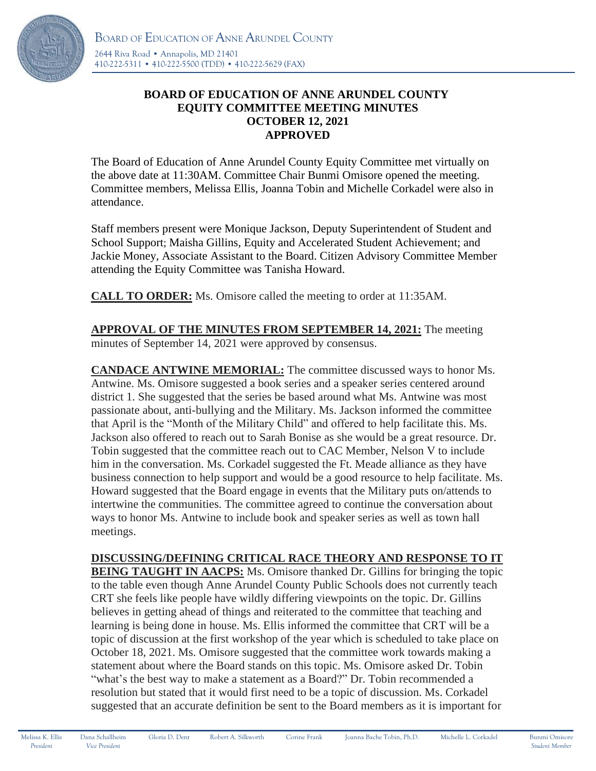

## **BOARD OF EDUCATION OF ANNE ARUNDEL COUNTY EQUITY COMMITTEE MEETING MINUTES OCTOBER 12, 2021 APPROVED**

The Board of Education of Anne Arundel County Equity Committee met virtually on the above date at 11:30AM. Committee Chair Bunmi Omisore opened the meeting. Committee members, Melissa Ellis, Joanna Tobin and Michelle Corkadel were also in attendance.

Staff members present were Monique Jackson, Deputy Superintendent of Student and School Support; Maisha Gillins, Equity and Accelerated Student Achievement; and Jackie Money, Associate Assistant to the Board. Citizen Advisory Committee Member attending the Equity Committee was Tanisha Howard.

**CALL TO ORDER:** Ms. Omisore called the meeting to order at 11:35AM.

**APPROVAL OF THE MINUTES FROM SEPTEMBER 14, 2021:** The meeting minutes of September 14, 2021 were approved by consensus.

**CANDACE ANTWINE MEMORIAL:** The committee discussed ways to honor Ms. Antwine. Ms. Omisore suggested a book series and a speaker series centered around district 1. She suggested that the series be based around what Ms. Antwine was most passionate about, anti-bullying and the Military. Ms. Jackson informed the committee that April is the "Month of the Military Child" and offered to help facilitate this. Ms. Jackson also offered to reach out to Sarah Bonise as she would be a great resource. Dr. Tobin suggested that the committee reach out to CAC Member, Nelson V to include him in the conversation. Ms. Corkadel suggested the Ft. Meade alliance as they have business connection to help support and would be a good resource to help facilitate. Ms. Howard suggested that the Board engage in events that the Military puts on/attends to intertwine the communities. The committee agreed to continue the conversation about ways to honor Ms. Antwine to include book and speaker series as well as town hall meetings.

## **DISCUSSING/DEFINING CRITICAL RACE THEORY AND RESPONSE TO IT**

**BEING TAUGHT IN AACPS:** Ms. Omisore thanked Dr. Gillins for bringing the topic to the table even though Anne Arundel County Public Schools does not currently teach CRT she feels like people have wildly differing viewpoints on the topic. Dr. Gillins believes in getting ahead of things and reiterated to the committee that teaching and learning is being done in house. Ms. Ellis informed the committee that CRT will be a topic of discussion at the first workshop of the year which is scheduled to take place on October 18, 2021. Ms. Omisore suggested that the committee work towards making a statement about where the Board stands on this topic. Ms. Omisore asked Dr. Tobin "what's the best way to make a statement as a Board?" Dr. Tobin recommended a resolution but stated that it would first need to be a topic of discussion. Ms. Corkadel suggested that an accurate definition be sent to the Board members as it is important for